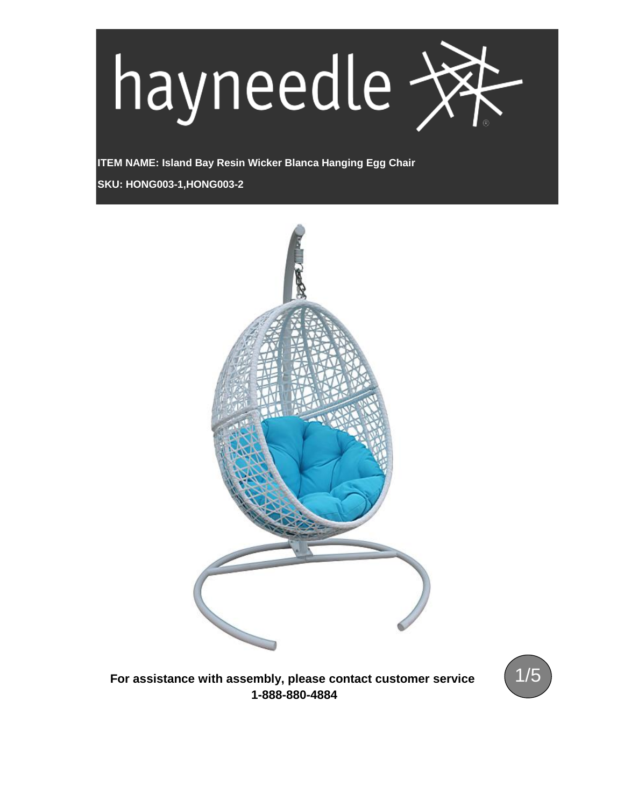

**SKU: HONG003-1,HONG003-2 ITEM NAME: Island Bay Resin Wicker Blanca Hanging Egg Chair**



**For assistance with assembly, please contact customer service 1-888-880-4884**

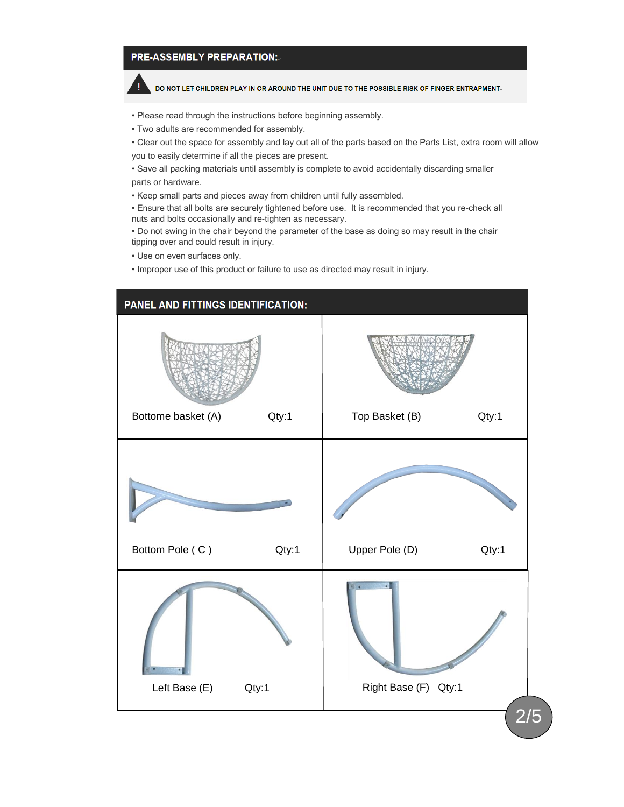## **PRE-ASSEMBLY PREPARATION:**

DO NOT LET CHILDREN PLAY IN OR AROUND THE UNIT DUE TO THE POSSIBLE RISK OF FINGER ENTRAPMENT.

• Please read through the instructions before beginning assembly.

- Two adults are recommended for assembly.
- Clear out the space for assembly and lay out all of the parts based on the Parts List, extra room will allow you to easily determine if all the pieces are present.

• Save all packing materials until assembly is complete to avoid accidentally discarding smaller parts or hardware.

• Keep small parts and pieces away from children until fully assembled.

• Ensure that all bolts are securely tightened before use. It is recommended that you re-check all nuts and bolts occasionally and re-tighten as necessary.

• Do not swing in the chair beyond the parameter of the base as doing so may result in the chair tipping over and could result in injury.

- Use on even surfaces only.
- Improper use of this product or failure to use as directed may result in injury.

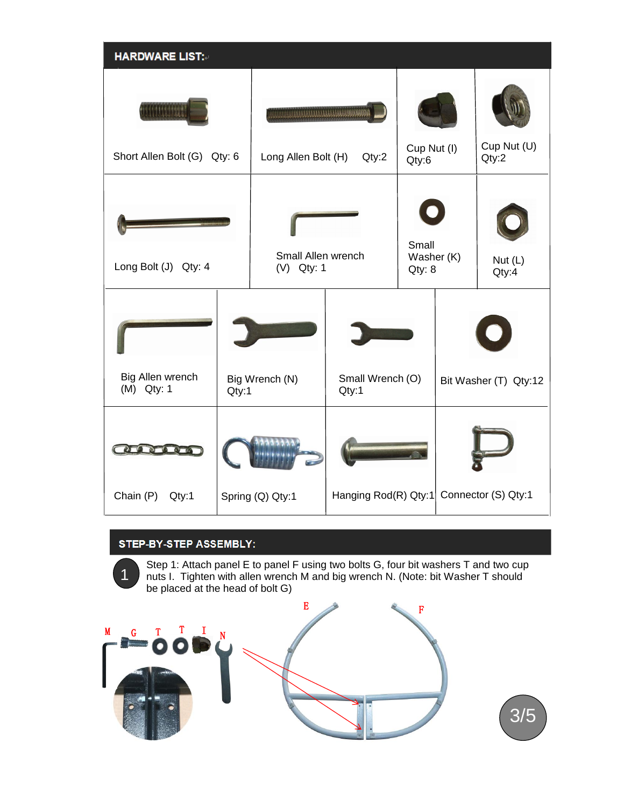| <b>HARDWARE LIST:</b>                                    |                         |                                                                               |                               |                      |                       |                      |
|----------------------------------------------------------|-------------------------|-------------------------------------------------------------------------------|-------------------------------|----------------------|-----------------------|----------------------|
| Short Allen Bolt (G) Qty: 6                              |                         | <b>TARALIA ALALA ALALA ALALA ALALA MUULUU</b><br>Long Allen Bolt (H)<br>Qty:2 |                               | Cup Nut (I)<br>Qty:6 |                       | Cup Nut (U)<br>Qty:2 |
| Small Allen wrench<br>Long Bolt (J) Qty: 4<br>(V) Qty: 1 |                         |                                                                               | Small<br>Washer (K)<br>Qty: 8 |                      | Nut $(L)$<br>Qty:4    |                      |
| Big Allen wrench<br>(M) Qty: 1                           | Big Wrench (N)<br>Qty:1 |                                                                               | Small Wrench (O)<br>Qty:1     |                      | Bit Washer (T) Qty:12 |                      |
| $\lambda$ 0<br>Chain (P)<br>Qty:1                        | Spring (Q) Qty:1        |                                                                               | Hanging $Rod(R) Qty:1$        |                      | Connector (S) Qty:1   |                      |

## STEP-BY-STEP ASSEMBLY:

1

Step 1: Attach panel E to panel F using two bolts G, four bit washers T and two cup nuts I. Tighten with allen wrench M and big wrench N. (Note: bit Washer T should be placed at the head of bolt G)



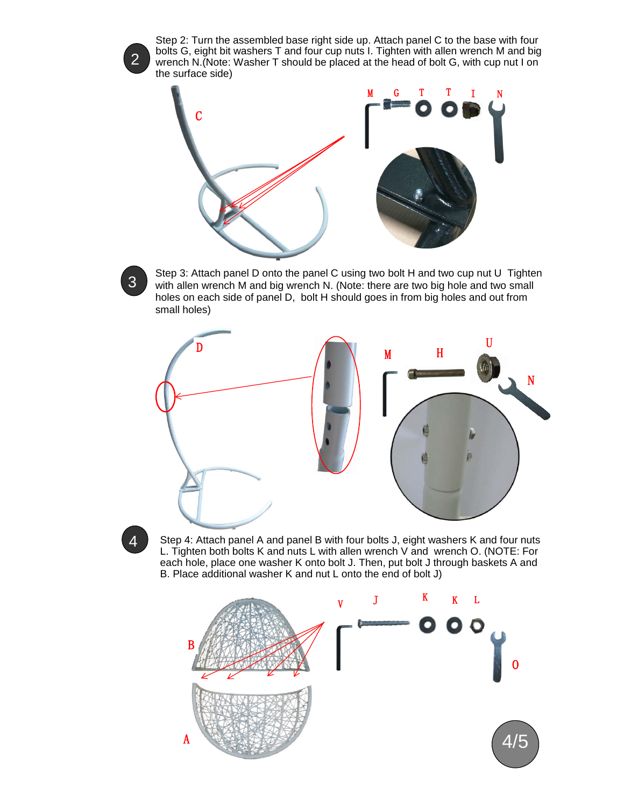Step 2: Turn the assembled base right side up. Attach panel C to the base with four bolts G, eight bit washers T and four cup nuts I. Tighten with allen wrench M and big wrench N.(Note: Washer T should be placed at the head of bolt G, with cup nut I on the surface side)





2

Step 3: Attach panel D onto the panel C using two bolt H and two cup nut U Tighten with allen wrench M and big wrench N. (Note: there are two big hole and two small holes on each side of panel D, bolt H should goes in from big holes and out from small holes)



4

Step 4: Attach panel A and panel B with four bolts J, eight washers K and four nuts L. Tighten both bolts K and nuts L with allen wrench V and wrench O. (NOTE: For each hole, place one washer K onto bolt J. Then, put bolt J through baskets A and B. Place additional washer K and nut L onto the end of bolt J)